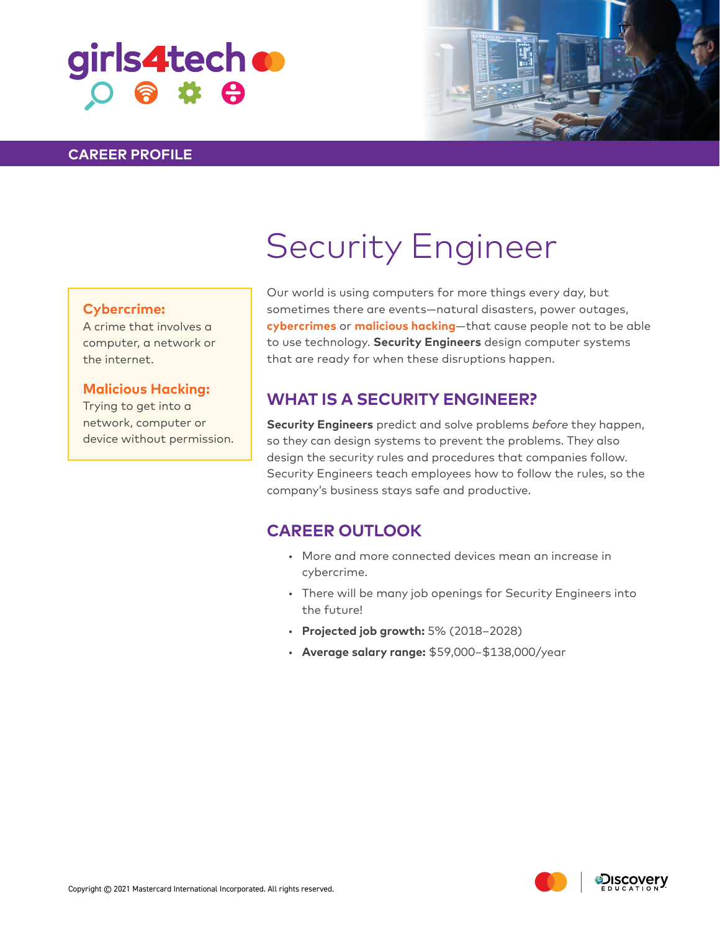# girls4tech o  $O$  &  $\Phi$

#### **CAREER PROFILE**



#### **Cybercrime:**

A crime that involves a computer, a network or the internet.

#### **Malicious Hacking:**

Trying to get into a network, computer or device without permission. Our world is using computers for more things every day, but sometimes there are events—natural disasters, power outages, **cybercrimes** or **malicious hacking**—that cause people not to be able to use technology. **Security Engineers** design computer systems that are ready for when these disruptions happen.

## **WHAT IS A SECURITY ENGINEER?**

**Security Engineers** predict and solve problems *before* they happen, so they can design systems to prevent the problems. They also design the security rules and procedures that companies follow. Security Engineers teach employees how to follow the rules, so the company's business stays safe and productive.

### **CAREER OUTLOOK**

- More and more connected devices mean an increase in cybercrime.
- There will be many job openings for Security Engineers into the future!
- **Projected job growth:** 5% (2018–2028)
- **Average salary range:** \$59,000–\$138,000/year